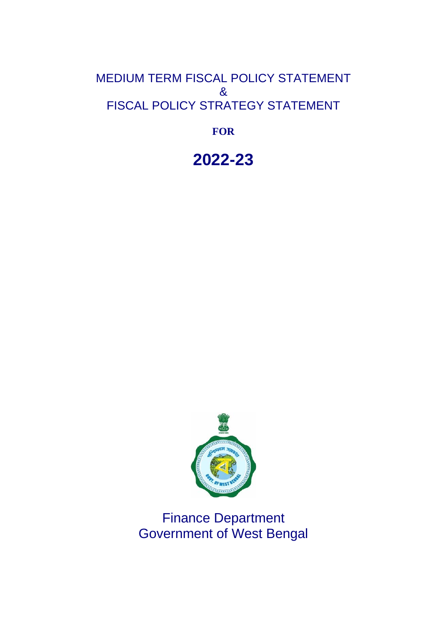## MEDIUM TERM FISCAL POLICY STATEMENT & FISCAL POLICY STRATEGY STATEMENT

**FOR** 

**2022-23**



Finance Department Government of West Bengal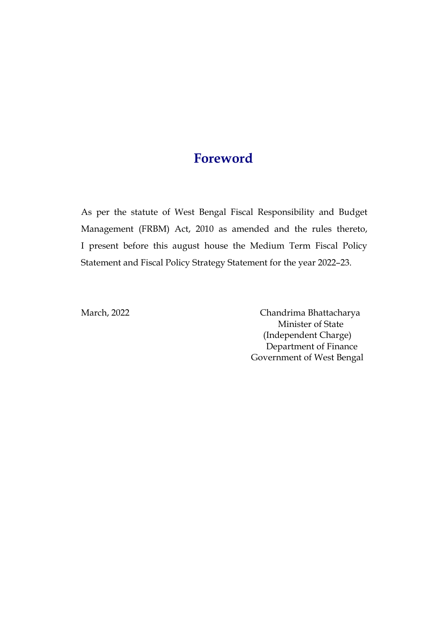## **Foreword**

As per the statute of West Bengal Fiscal Responsibility and Budget Management (FRBM) Act, 2010 as amended and the rules thereto, I present before this august house the Medium Term Fiscal Policy Statement and Fiscal Policy Strategy Statement for the year 2022–23.

March, 2022 Chandrima Bhattacharya Minister of State (Independent Charge) Department of Finance Government of West Bengal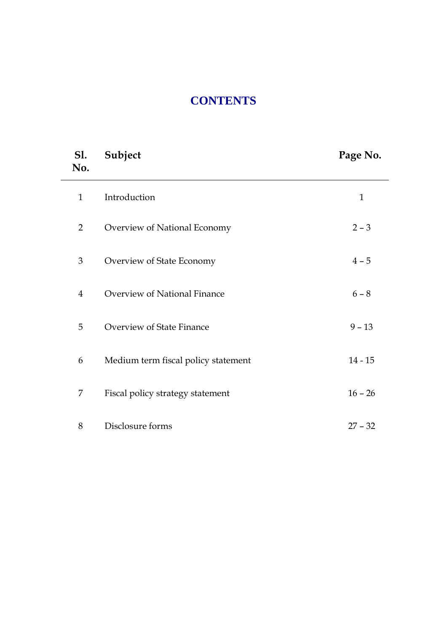# **CONTENTS**

| <b>S1.</b><br>No. | Subject                             | Page No.     |
|-------------------|-------------------------------------|--------------|
| $\mathbf{1}$      | Introduction                        | $\mathbf{1}$ |
| $\overline{2}$    | Overview of National Economy        | $2 - 3$      |
| 3                 | Overview of State Economy           | $4 - 5$      |
| $\overline{4}$    | Overview of National Finance        | $6 - 8$      |
| 5                 | Overview of State Finance           | $9 - 13$     |
| 6                 | Medium term fiscal policy statement | $14 - 15$    |
| 7                 | Fiscal policy strategy statement    | $16 - 26$    |
| 8                 | Disclosure forms                    | $27 - 32$    |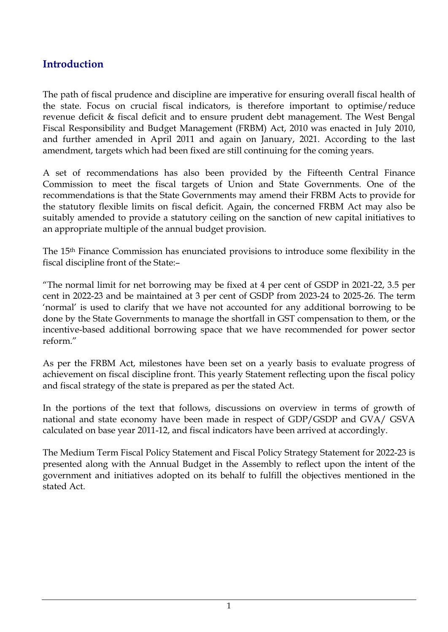## **Introduction**

The path of fiscal prudence and discipline are imperative for ensuring overall fiscal health of the state. Focus on crucial fiscal indicators, is therefore important to optimise/reduce revenue deficit & fiscal deficit and to ensure prudent debt management. The West Bengal Fiscal Responsibility and Budget Management (FRBM) Act, 2010 was enacted in July 2010, and further amended in April 2011 and again on January, 2021. According to the last amendment, targets which had been fixed are still continuing for the coming years.

A set of recommendations has also been provided by the Fifteenth Central Finance Commission to meet the fiscal targets of Union and State Governments. One of the recommendations is that the State Governments may amend their FRBM Acts to provide for the statutory flexible limits on fiscal deficit. Again, the concerned FRBM Act may also be suitably amended to provide a statutory ceiling on the sanction of new capital initiatives to an appropriate multiple of the annual budget provision.

The 15th Finance Commission has enunciated provisions to introduce some flexibility in the fiscal discipline front of the State:–

"The normal limit for net borrowing may be fixed at 4 per cent of GSDP in 2021-22, 3.5 per cent in 2022-23 and be maintained at 3 per cent of GSDP from 2023-24 to 2025-26. The term 'normal' is used to clarify that we have not accounted for any additional borrowing to be done by the State Governments to manage the shortfall in GST compensation to them, or the incentive-based additional borrowing space that we have recommended for power sector reform."

As per the FRBM Act, milestones have been set on a yearly basis to evaluate progress of achievement on fiscal discipline front. This yearly Statement reflecting upon the fiscal policy and fiscal strategy of the state is prepared as per the stated Act.

In the portions of the text that follows, discussions on overview in terms of growth of national and state economy have been made in respect of GDP/GSDP and GVA/ GSVA calculated on base year 2011-12, and fiscal indicators have been arrived at accordingly.

The Medium Term Fiscal Policy Statement and Fiscal Policy Strategy Statement for 2022-23 is presented along with the Annual Budget in the Assembly to reflect upon the intent of the government and initiatives adopted on its behalf to fulfill the objectives mentioned in the stated Act.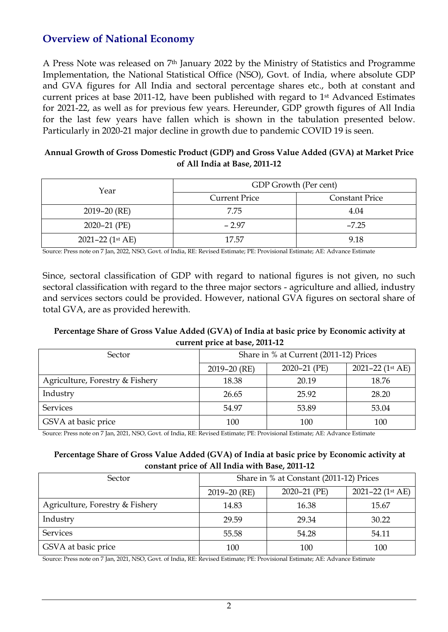## **Overview of National Economy**

A Press Note was released on 7th January 2022 by the Ministry of Statistics and Programme Implementation, the National Statistical Office (NSO), Govt. of India, where absolute GDP and GVA figures for All India and sectoral percentage shares etc., both at constant and current prices at base 2011-12, have been published with regard to 1st Advanced Estimates for 2021-22, as well as for previous few years. Hereunder, GDP growth figures of All India for the last few years have fallen which is shown in the tabulation presented below. Particularly in 2020-21 major decline in growth due to pandemic COVID 19 is seen.

#### **Annual Growth of Gross Domestic Product (GDP) and Gross Value Added (GVA) at Market Price of All India at Base, 2011-12**

| Year               | GDP Growth (Per cent) |                       |  |
|--------------------|-----------------------|-----------------------|--|
|                    | <b>Current Price</b>  | <b>Constant Price</b> |  |
| $2019 - 20$ (RE)   | 7.75                  | 4.04                  |  |
| $2020 - 21$ (PE)   | $-2.97$               | $-7.25$               |  |
| 2021-22 $(1st AE)$ | 17.57                 | 9.18                  |  |

Source: Press note on 7 Jan, 2022, NSO, Govt. of India, RE: Revised Estimate; PE: Provisional Estimate; AE: Advance Estimate

Since, sectoral classification of GDP with regard to national figures is not given, no such sectoral classification with regard to the three major sectors - agriculture and allied, industry and services sectors could be provided. However, national GVA figures on sectoral share of total GVA, are as provided herewith.

### **Percentage Share of Gross Value Added (GVA) of India at basic price by Economic activity at current price at base, 2011-12**

| Sector                          | Share in % at Current (2011-12) Prices |                  |                     |
|---------------------------------|----------------------------------------|------------------|---------------------|
|                                 | $2019 - 20$ (RE)                       | $2020 - 21$ (PE) | 2021-22 ( $1st$ AE) |
| Agriculture, Forestry & Fishery | 18.38                                  | 20.19            | 18.76               |
| Industry                        | 26.65                                  | 25.92            | 28.20               |
| Services                        | 54.97                                  | 53.89            | 53.04               |
| GSVA at basic price             | 100                                    | 100              | 100                 |

Source: Press note on 7 Jan, 2021, NSO, Govt. of India, RE: Revised Estimate; PE: Provisional Estimate; AE: Advance Estimate

#### **Percentage Share of Gross Value Added (GVA) of India at basic price by Economic activity at constant price of All India with Base, 2011-12**

| Sector                          | Share in % at Constant (2011-12) Prices |              |                  |  |  |
|---------------------------------|-----------------------------------------|--------------|------------------|--|--|
|                                 | $2019 - 20$ (RE)                        | 2020-21 (PE) | 2021-22 (1st AE) |  |  |
| Agriculture, Forestry & Fishery | 14.83                                   | 16.38        | 15.67            |  |  |
| Industry                        | 29.59                                   | 29.34        | 30.22            |  |  |
| <b>Services</b>                 | 55.58                                   | 54.28        | 54.11            |  |  |
| GSVA at basic price             | 100                                     | 100          | 100              |  |  |

Source: Press note on 7 Jan, 2021, NSO, Govt. of India, RE: Revised Estimate; PE: Provisional Estimate; AE: Advance Estimate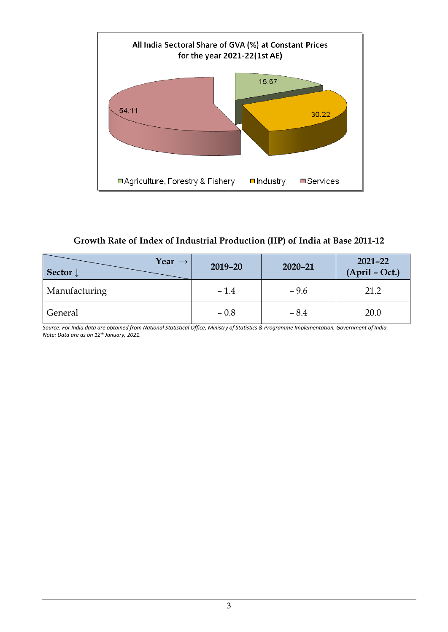

### **Growth Rate of Index of Industrial Production (IIP) of India at Base 2011-12**

| Year $\rightarrow$<br>Sector $\downarrow$ | $2019 - 20$ | $2020 - 21$ | $2021 - 22$<br>$(ApriI - Oct.)$ |
|-------------------------------------------|-------------|-------------|---------------------------------|
| Manufacturing                             | $-1.4$      | $-9.6$      | 21.2                            |
| General                                   | $-0.8$      | $-8.4$      | 20.0                            |

*Source: For India data are obtained from National Statistical Office, Ministry of Statistics & Programme Implementation, Government of India. Note: Data are as on 12th January, 2021.*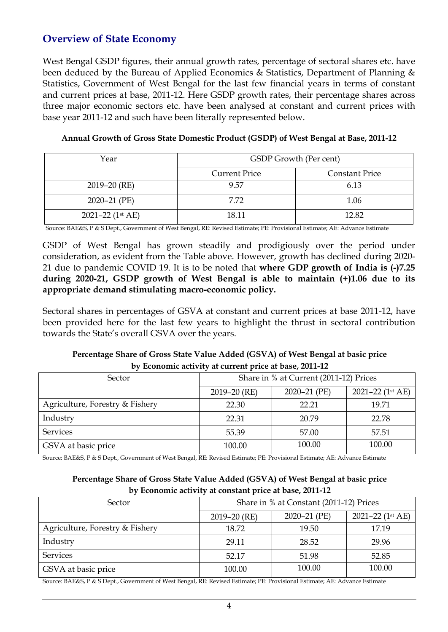## **Overview of State Economy**

West Bengal GSDP figures, their annual growth rates, percentage of sectoral shares etc. have been deduced by the Bureau of Applied Economics & Statistics, Department of Planning & Statistics, Government of West Bengal for the last few financial years in terms of constant and current prices at base, 2011-12. Here GSDP growth rates, their percentage shares across three major economic sectors etc. have been analysed at constant and current prices with base year 2011-12 and such have been literally represented below.

**Annual Growth of Gross State Domestic Product (GSDP) of West Bengal at Base, 2011-12**

| Year               | GSDP Growth (Per cent) |                       |  |
|--------------------|------------------------|-----------------------|--|
|                    | <b>Current Price</b>   | <b>Constant Price</b> |  |
| $2019 - 20$ (RE)   | 9.57                   | 6.13                  |  |
| 2020-21 (PE)       | 7.72                   | 1.06                  |  |
| 2021-22 $(1st AE)$ | 18.11                  | 12.82                 |  |

Source: BAE&S, P & S Dept., Government of West Bengal, RE: Revised Estimate; PE: Provisional Estimate; AE: Advance Estimate

GSDP of West Bengal has grown steadily and prodigiously over the period under consideration, as evident from the Table above. However, growth has declined during 2020- 21 due to pandemic COVID 19. It is to be noted that **where GDP growth of India is (-)7.25 during 2020-21, GSDP growth of West Bengal is able to maintain (+)1.06 due to its appropriate demand stimulating macro-economic policy.**

Sectoral shares in percentages of GSVA at constant and current prices at base 2011-12, have been provided here for the last few years to highlight the thrust in sectoral contribution towards the State's overall GSVA over the years.

| Percentage Share of Gross State Value Added (GSVA) of West Bengal at basic price |
|----------------------------------------------------------------------------------|
| by Economic activity at current price at base, 2011-12                           |

| Sector                          | Share in % at Current (2011-12) Prices |              |                     |
|---------------------------------|----------------------------------------|--------------|---------------------|
|                                 | $2019 - 20$ (RE)                       | 2020-21 (PE) | 2021-22 ( $1st$ AE) |
| Agriculture, Forestry & Fishery | 22.30                                  | 22.21        | 19.71               |
| Industry                        | 22.31                                  | 20.79        | 22.78               |
| <b>Services</b>                 | 55.39                                  | 57.00        | 57.51               |
| GSVA at basic price             | 100.00                                 | 100.00       | 100.00              |

Source: BAE&S, P & S Dept., Government of West Bengal, RE: Revised Estimate; PE: Provisional Estimate; AE: Advance Estimate

#### **Percentage Share of Gross State Value Added (GSVA) of West Bengal at basic price by Economic activity at constant price at base, 2011-12**

| Sector                          | Share in % at Constant (2011-12) Prices |                  |                      |
|---------------------------------|-----------------------------------------|------------------|----------------------|
|                                 | $2019 - 20$ (RE)                        | $2020 - 21$ (PE) | $2021 - 22$ (1st AE) |
| Agriculture, Forestry & Fishery | 18.72                                   | 19.50            | 17.19                |
| Industry                        | 29.11                                   | 28.52            | 29.96                |
| <b>Services</b>                 | 52.17                                   | 51.98            | 52.85                |
| GSVA at basic price             | 100.00                                  | 100.00           | 100.00               |

Source: BAE&S, P & S Dept., Government of West Bengal, RE: Revised Estimate; PE: Provisional Estimate; AE: Advance Estimate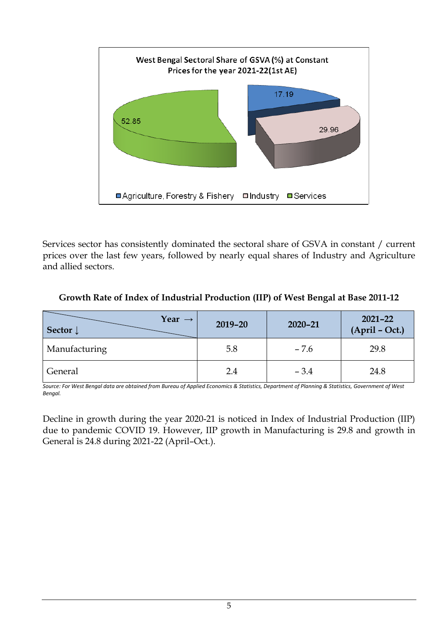

Services sector has consistently dominated the sectoral share of GSVA in constant / current prices over the last few years, followed by nearly equal shares of Industry and Agriculture and allied sectors.

| Year $\rightarrow$<br>Sector $\downarrow$ | $2019 - 20$ | $2020 - 21$ | $2021 - 22$<br>$(ApriI - Oct.)$ |
|-------------------------------------------|-------------|-------------|---------------------------------|
| Manufacturing                             | 5.8         | $-7.6$      | 29.8                            |
| General                                   | 2.4         | $-3.4$      | 24.8                            |

### **Growth Rate of Index of Industrial Production (IIP) of West Bengal at Base 2011-12**

*Source: For West Bengal data are obtained from Bureau of Applied Economics & Statistics, Department of Planning & Statistics, Government of West Bengal.* 

Decline in growth during the year 2020-21 is noticed in Index of Industrial Production (IIP) due to pandemic COVID 19. However, IIP growth in Manufacturing is 29.8 and growth in General is 24.8 during 2021-22 (April–Oct.).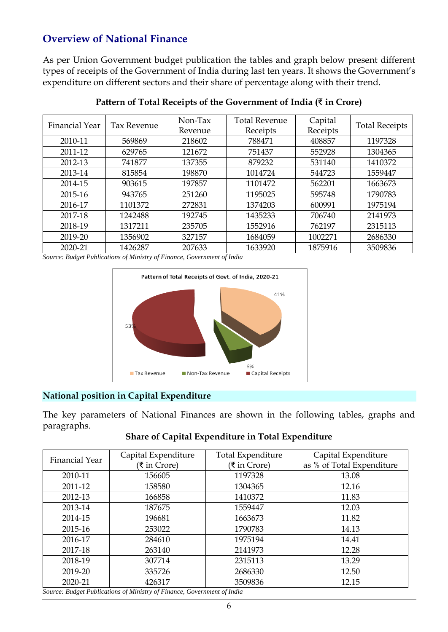## **Overview of National Finance**

As per Union Government budget publication the tables and graph below present different types of receipts of the Government of India during last ten years. It shows the Government's expenditure on different sectors and their share of percentage along with their trend.

| Financial Year | Tax Revenue | Non-Tax | <b>Total Revenue</b> | Capital  |                       |
|----------------|-------------|---------|----------------------|----------|-----------------------|
|                |             | Revenue | Receipts             | Receipts | <b>Total Receipts</b> |
| 2010-11        | 569869      | 218602  | 788471               | 408857   | 1197328               |
| 2011-12        | 629765      | 121672  | 751437               | 552928   | 1304365               |
| 2012-13        | 741877      | 137355  | 879232               | 531140   | 1410372               |
| 2013-14        | 815854      | 198870  | 1014724              | 544723   | 1559447               |
| 2014-15        | 903615      | 197857  | 1101472              | 562201   | 1663673               |
| 2015-16        | 943765      | 251260  | 1195025              | 595748   | 1790783               |
| 2016-17        | 1101372     | 272831  | 1374203              | 600991   | 1975194               |
| 2017-18        | 1242488     | 192745  | 1435233              | 706740   | 2141973               |
| 2018-19        | 1317211     | 235705  | 1552916              | 762197   | 2315113               |
| 2019-20        | 1356902     | 327157  | 1684059              | 1002271  | 2686330               |
| 2020-21        | 1426287     | 207633  | 1633920              | 1875916  | 3509836               |

#### **Pattern of Total Receipts of the Government of India (**₹ **in Crore)**

*Source: Budget Publications of Ministry of Finance, Government of India*



#### **National position in Capital Expenditure**

The key parameters of National Finances are shown in the following tables, graphs and paragraphs.

#### **Share of Capital Expenditure in Total Expenditure**

| <b>Financial Year</b> | Capital Expenditure<br>(₹ in Crore) | <b>Total Expenditure</b><br>(₹ in Crore) | Capital Expenditure<br>as % of Total Expenditure |
|-----------------------|-------------------------------------|------------------------------------------|--------------------------------------------------|
| 2010-11               | 156605                              | 1197328                                  | 13.08                                            |
| 2011-12               | 158580                              | 1304365                                  | 12.16                                            |
| 2012-13               | 166858                              | 1410372                                  | 11.83                                            |
| 2013-14               | 187675                              | 1559447                                  | 12.03                                            |
| 2014-15               | 196681                              | 1663673                                  | 11.82                                            |
| 2015-16               | 253022                              | 1790783                                  | 14.13                                            |
| 2016-17               | 284610                              | 1975194                                  | 14.41                                            |
| 2017-18               | 263140                              | 2141973                                  | 12.28                                            |
| 2018-19               | 307714                              | 2315113                                  | 13.29                                            |
| 2019-20               | 335726                              | 2686330                                  | 12.50                                            |
| 2020-21               | 426317                              | 3509836                                  | 12.15                                            |

*Source: Budget Publications of Ministry of Finance, Government of India*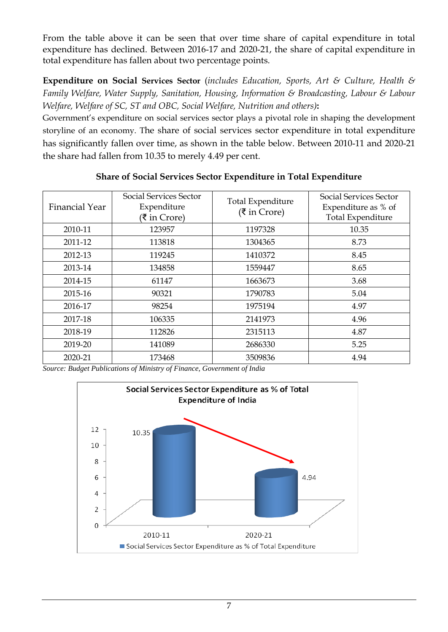From the table above it can be seen that over time share of capital expenditure in total expenditure has declined. Between 2016-17 and 2020-21, the share of capital expenditure in total expenditure has fallen about two percentage points.

**Expenditure on Social Services Sector** (*includes Education, Sports, Art & Culture, Health & Family Welfare, Water Supply, Sanitation, Housing, Information & Broadcasting, Labour & Labour Welfare, Welfare of SC, ST and OBC, Social Welfare, Nutrition and others)***:**

Government's expenditure on social services sector plays a pivotal role in shaping the development storyline of an economy. The share of social services sector expenditure in total expenditure has significantly fallen over time, as shown in the table below. Between 2010-11 and 2020-21 the share had fallen from 10.35 to merely 4.49 per cent.

| Financial Year | <b>Social Services Sector</b><br>Expenditure<br>(₹ in Crore) | Total Expenditure<br>$(3\overline{5})$ in Crore) | Social Services Sector<br>Expenditure as % of<br><b>Total Expenditure</b> |
|----------------|--------------------------------------------------------------|--------------------------------------------------|---------------------------------------------------------------------------|
| 2010-11        | 123957                                                       | 1197328                                          | 10.35                                                                     |
| 2011-12        | 113818                                                       | 1304365                                          | 8.73                                                                      |
| 2012-13        | 119245                                                       | 1410372                                          | 8.45                                                                      |
| 2013-14        | 134858                                                       | 1559447                                          | 8.65                                                                      |
| 2014-15        | 61147                                                        | 1663673                                          | 3.68                                                                      |
| 2015-16        | 90321                                                        | 1790783                                          | 5.04                                                                      |
| 2016-17        | 98254                                                        | 1975194                                          | 4.97                                                                      |
| 2017-18        | 106335                                                       | 2141973                                          | 4.96                                                                      |
| 2018-19        | 112826                                                       | 2315113                                          | 4.87                                                                      |
| 2019-20        | 141089                                                       | 2686330                                          | 5.25                                                                      |
| 2020-21        | 173468                                                       | 3509836                                          | 4.94                                                                      |

**Share of Social Services Sector Expenditure in Total Expenditure**

*Source: Budget Publications of Ministry of Finance, Government of India*

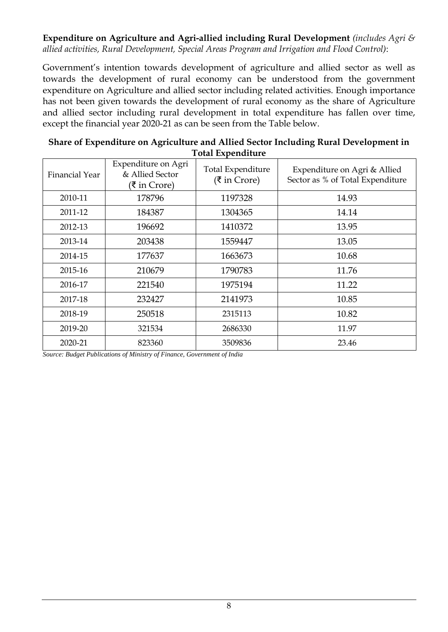### **Expenditure on Agriculture and Agri-allied including Rural Development** *(includes Agri & allied activities, Rural Development, Special Areas Program and Irrigation and Flood Control)*:

Government's intention towards development of agriculture and allied sector as well as towards the development of rural economy can be understood from the government expenditure on Agriculture and allied sector including related activities. Enough importance has not been given towards the development of rural economy as the share of Agriculture and allied sector including rural development in total expenditure has fallen over time, except the financial year 2020-21 as can be seen from the Table below.

| Share of Expenditure on Agriculture and Allied Sector Including Rural Development in |
|--------------------------------------------------------------------------------------|
| <b>Total Expenditure</b>                                                             |

| Financial Year | Expenditure on Agri<br>& Allied Sector<br>(₹ in Crore) | <b>Total Expenditure</b><br>(₹ in Crore) | Expenditure on Agri & Allied<br>Sector as % of Total Expenditure |
|----------------|--------------------------------------------------------|------------------------------------------|------------------------------------------------------------------|
| 2010-11        | 178796                                                 | 1197328                                  | 14.93                                                            |
| 2011-12        | 184387                                                 | 1304365                                  | 14.14                                                            |
| 2012-13        | 196692                                                 | 1410372                                  | 13.95                                                            |
| 2013-14        | 203438                                                 | 1559447                                  | 13.05                                                            |
| 2014-15        | 177637                                                 | 1663673                                  | 10.68                                                            |
| 2015-16        | 210679                                                 | 1790783                                  | 11.76                                                            |
| 2016-17        | 221540                                                 | 1975194                                  | 11.22                                                            |
| 2017-18        | 232427                                                 | 2141973                                  | 10.85                                                            |
| 2018-19        | 250518                                                 | 2315113                                  | 10.82                                                            |
| 2019-20        | 321534                                                 | 2686330                                  | 11.97                                                            |
| 2020-21        | 823360                                                 | 3509836                                  | 23.46                                                            |

*Source: Budget Publications of Ministry of Finance, Government of India*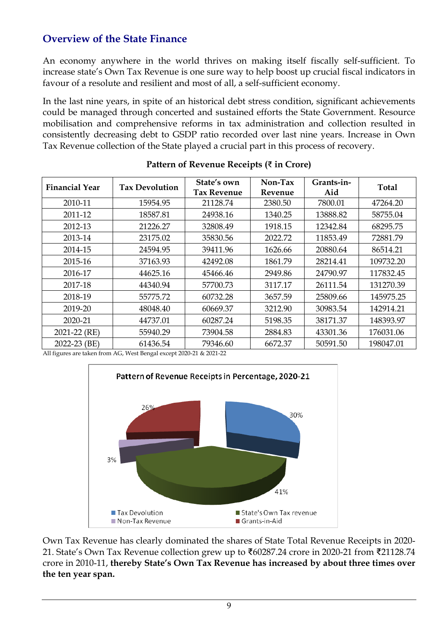## **Overview of the State Finance**

An economy anywhere in the world thrives on making itself fiscally self-sufficient. To increase state's Own Tax Revenue is one sure way to help boost up crucial fiscal indicators in favour of a resolute and resilient and most of all, a self-sufficient economy.

In the last nine years, in spite of an historical debt stress condition, significant achievements could be managed through concerted and sustained efforts the State Government. Resource mobilisation and comprehensive reforms in tax administration and collection resulted in consistently decreasing debt to GSDP ratio recorded over last nine years. Increase in Own Tax Revenue collection of the State played a crucial part in this process of recovery.

| <b>Financial Year</b> | <b>Tax Devolution</b> | State's own<br><b>Tax Revenue</b> | Non-Tax<br>Revenue | Grants-in-<br>Aid | Total     |
|-----------------------|-----------------------|-----------------------------------|--------------------|-------------------|-----------|
| 2010-11               | 15954.95              | 21128.74                          | 2380.50            | 7800.01           | 47264.20  |
| 2011-12               | 18587.81              | 24938.16                          | 1340.25            | 13888.82          | 58755.04  |
| 2012-13               | 21226.27              | 32808.49                          | 1918.15            | 12342.84          | 68295.75  |
| 2013-14               | 23175.02              | 35830.56                          | 2022.72            | 11853.49          | 72881.79  |
| 2014-15               | 24594.95              | 39411.96                          | 1626.66            | 20880.64          | 86514.21  |
| 2015-16               | 37163.93              | 42492.08                          | 1861.79            | 28214.41          | 109732.20 |
| 2016-17               | 44625.16              | 45466.46                          | 2949.86            | 24790.97          | 117832.45 |
| 2017-18               | 44340.94              | 57700.73                          | 3117.17            | 26111.54          | 131270.39 |
| 2018-19               | 55775.72              | 60732.28                          | 3657.59            | 25809.66          | 145975.25 |
| 2019-20               | 48048.40              | 60669.37                          | 3212.90            | 30983.54          | 142914.21 |
| 2020-21               | 44737.01              | 60287.24                          | 5198.35            | 38171.37          | 148393.97 |
| 2021-22 (RE)          | 55940.29              | 73904.58                          | 2884.83            | 43301.36          | 176031.06 |
| 2022-23 (BE)          | 61436.54              | 79346.60                          | 6672.37            | 50591.50          | 198047.01 |

### **Pattern of Revenue Receipts (**₹ **in Crore)**

All figures are taken from AG, West Bengal except 2020-21 & 2021-22



Own Tax Revenue has clearly dominated the shares of State Total Revenue Receipts in 2020- 21. State's Own Tax Revenue collection grew up to ₹60287.24 crore in 2020-21 from ₹21128.74 crore in 2010-11, **thereby State's Own Tax Revenue has increased by about three times over the ten year span.**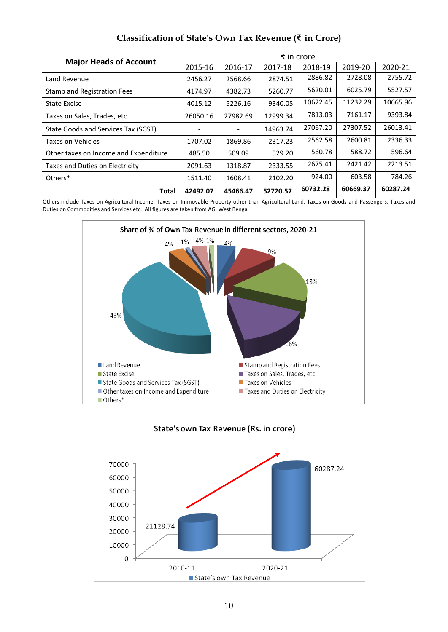| <b>Major Heads of Account</b>         | ₹ in crore |          |          |          |          |          |
|---------------------------------------|------------|----------|----------|----------|----------|----------|
|                                       | 2015-16    | 2016-17  | 2017-18  | 2018-19  | 2019-20  | 2020-21  |
| Land Revenue                          | 2456.27    | 2568.66  | 2874.51  | 2886.82  | 2728.08  | 2755.72  |
| Stamp and Registration Fees           | 4174.97    | 4382.73  | 5260.77  | 5620.01  | 6025.79  | 5527.57  |
| State Excise                          | 4015.12    | 5226.16  | 9340.05  | 10622.45 | 11232.29 | 10665.96 |
| Taxes on Sales, Trades, etc.          | 26050.16   | 27982.69 | 12999.34 | 7813.03  | 7161.17  | 9393.84  |
| State Goods and Services Tax (SGST)   |            |          | 14963.74 | 27067.20 | 27307.52 | 26013.41 |
| Taxes on Vehicles                     | 1707.02    | 1869.86  | 2317.23  | 2562.58  | 2600.81  | 2336.33  |
| Other taxes on Income and Expenditure | 485.50     | 509.09   | 529.20   | 560.78   | 588.72   | 596.64   |
| Taxes and Duties on Electricity       | 2091.63    | 1318.87  | 2333.55  | 2675.41  | 2421.42  | 2213.51  |
| Others*                               | 1511.40    | 1608.41  | 2102.20  | 924.00   | 603.58   | 784.26   |
| Total                                 | 42492.07   | 45466.47 | 52720.57 | 60732.28 | 60669.37 | 60287.24 |

### **Classification of State's Own Tax Revenue (**₹ **in Crore)**

Others include Taxes on Agricultural Income, Taxes on Immovable Property other than Agricultural Land, Taxes on Goods and Passengers, Taxes and Duties on Commodities and Services etc. All figures are taken from AG, West Bengal



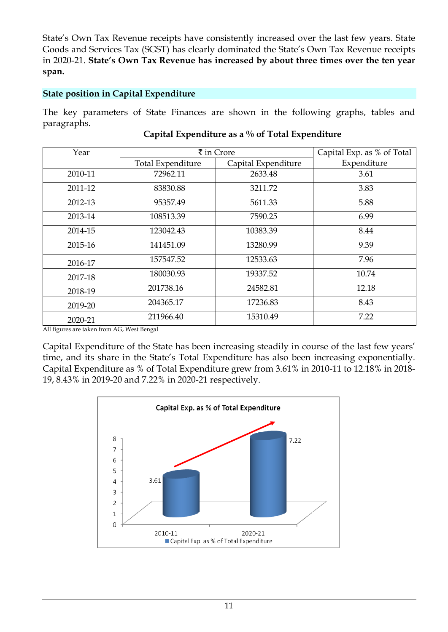State's Own Tax Revenue receipts have consistently increased over the last few years. State Goods and Services Tax (SGST) has clearly dominated the State's Own Tax Revenue receipts in 2020-21. **State's Own Tax Revenue has increased by about three times over the ten year span.**

## **State position in Capital Expenditure**

The key parameters of State Finances are shown in the following graphs, tables and paragraphs.

| Year    |                   | $\bar{\bar{\xi}}$ in Crore | Capital Exp. as % of Total |
|---------|-------------------|----------------------------|----------------------------|
|         | Total Expenditure | Capital Expenditure        | Expenditure                |
| 2010-11 | 72962.11          | 2633.48                    | 3.61                       |
| 2011-12 | 83830.88          | 3211.72                    | 3.83                       |
| 2012-13 | 95357.49          | 5611.33                    | 5.88                       |
| 2013-14 | 108513.39         | 7590.25                    | 6.99                       |
| 2014-15 | 123042.43         | 10383.39                   | 8.44                       |
| 2015-16 | 141451.09         | 13280.99                   | 9.39                       |
| 2016-17 | 157547.52         | 12533.63                   | 7.96                       |
| 2017-18 | 180030.93         | 19337.52                   | 10.74                      |
| 2018-19 | 201738.16         | 24582.81                   | 12.18                      |
| 2019-20 | 204365.17         | 17236.83                   | 8.43                       |
| 2020-21 | 211966.40         | 15310.49                   | 7.22                       |

### **Capital Expenditure as a % of Total Expenditure**

All figures are taken from AG, West Bengal

Capital Expenditure of the State has been increasing steadily in course of the last few years' time, and its share in the State's Total Expenditure has also been increasing exponentially. Capital Expenditure as % of Total Expenditure grew from 3.61% in 2010-11 to 12.18% in 2018- 19, 8.43% in 2019-20 and 7.22% in 2020-21 respectively.

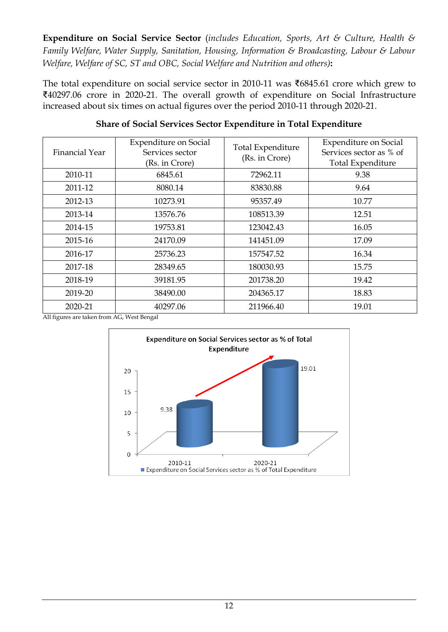**Expenditure on Social Service Sector** (*includes Education, Sports, Art & Culture, Health & Family Welfare, Water Supply, Sanitation, Housing, Information & Broadcasting, Labour & Labour Welfare, Welfare of SC, ST and OBC, Social Welfare and Nutrition and others)***:**

The total expenditure on social service sector in 2010-11 was ₹6845.61 crore which grew to ₹40297.06 crore in 2020-21. The overall growth of expenditure on Social Infrastructure increased about six times on actual figures over the period 2010-11 through 2020-21.

| Financial Year | <b>Expenditure on Social</b><br>Services sector<br>(Rs. in Crore) | Total Expenditure<br>(Rs. in Crore) | <b>Expenditure on Social</b><br>Services sector as % of<br>Total Expenditure |
|----------------|-------------------------------------------------------------------|-------------------------------------|------------------------------------------------------------------------------|
| 2010-11        | 6845.61                                                           | 72962.11                            | 9.38                                                                         |
| 2011-12        | 8080.14                                                           | 83830.88                            | 9.64                                                                         |
| 2012-13        | 10273.91                                                          | 95357.49                            | 10.77                                                                        |
| 2013-14        | 13576.76                                                          | 108513.39                           | 12.51                                                                        |
| 2014-15        | 19753.81                                                          | 123042.43                           | 16.05                                                                        |
| 2015-16        | 24170.09                                                          | 141451.09                           | 17.09                                                                        |
| 2016-17        | 25736.23                                                          | 157547.52                           | 16.34                                                                        |
| 2017-18        | 28349.65                                                          | 180030.93                           | 15.75                                                                        |
| 2018-19        | 39181.95                                                          | 201738.20                           | 19.42                                                                        |
| 2019-20        | 38490.00                                                          | 204365.17                           | 18.83                                                                        |
| 2020-21        | 40297.06                                                          | 211966.40                           | 19.01                                                                        |

### **Share of Social Services Sector Expenditure in Total Expenditure**

All figures are taken from AG, West Bengal

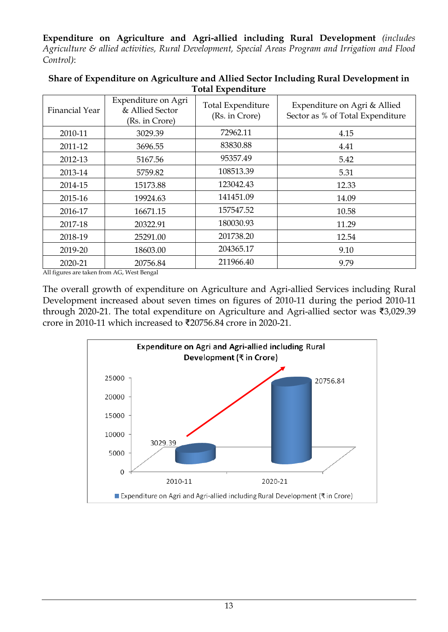**Expenditure on Agriculture and Agri-allied including Rural Development** *(includes Agriculture & allied activities, Rural Development, Special Areas Program and Irrigation and Flood Control)*:

| <b>Financial Year</b> | Expenditure on Agri<br>& Allied Sector<br>(Rs. in Crore) | <b>Total Expenditure</b><br>(Rs. in Crore) | Expenditure on Agri & Allied<br>Sector as % of Total Expenditure |
|-----------------------|----------------------------------------------------------|--------------------------------------------|------------------------------------------------------------------|
| 2010-11               | 3029.39                                                  | 72962.11                                   | 4.15                                                             |
| 2011-12               | 3696.55                                                  | 83830.88                                   | 4.41                                                             |
| 2012-13               | 5167.56                                                  | 95357.49                                   | 5.42                                                             |
| 2013-14               | 5759.82                                                  | 108513.39                                  | 5.31                                                             |
| 2014-15               | 15173.88                                                 | 123042.43                                  | 12.33                                                            |
| 2015-16               | 19924.63                                                 | 141451.09                                  | 14.09                                                            |
| 2016-17               | 16671.15                                                 | 157547.52                                  | 10.58                                                            |
| 2017-18               | 20322.91                                                 | 180030.93                                  | 11.29                                                            |
| 2018-19               | 25291.00                                                 | 201738.20                                  | 12.54                                                            |
| 2019-20               | 18603.00                                                 | 204365.17                                  | 9.10                                                             |
| 2020-21               | 20756.84                                                 | 211966.40                                  | 9.79                                                             |

#### **Share of Expenditure on Agriculture and Allied Sector Including Rural Development in Total Expenditure**

All figures are taken from AG, West Bengal

The overall growth of expenditure on Agriculture and Agri-allied Services including Rural Development increased about seven times on figures of 2010-11 during the period 2010-11 through 2020-21. The total expenditure on Agriculture and Agri-allied sector was ₹3,029.39 crore in 2010-11 which increased to ₹20756.84 crore in 2020-21.

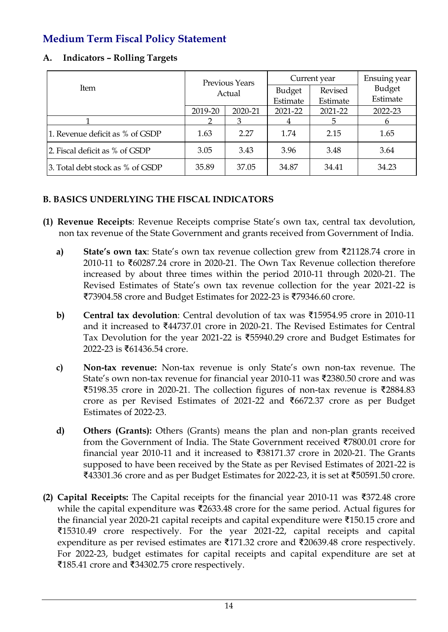## **Medium Term Fiscal Policy Statement**

| <b>Indicators - Rolling Targets</b><br>A. |  |
|-------------------------------------------|--|
|-------------------------------------------|--|

|                                  | <b>Previous Years</b><br>Actual |         | Current year  |          | Ensuing year |
|----------------------------------|---------------------------------|---------|---------------|----------|--------------|
| Item                             |                                 |         | <b>Budget</b> | Revised  | Budget       |
|                                  |                                 |         | Estimate      | Estimate | Estimate     |
|                                  | 2019-20                         | 2020-21 | 2021-22       | 2021-22  | 2022-23      |
|                                  |                                 | 3       | 4             | 5        | 6            |
| 1. Revenue deficit as % of GSDP  | 1.63                            | 2.27    | 1.74          | 2.15     | 1.65         |
| 2. Fiscal deficit as % of GSDP   | 3.05                            | 3.43    | 3.96          | 3.48     | 3.64         |
| 3. Total debt stock as % of GSDP | 35.89                           | 37.05   | 34.87         | 34.41    | 34.23        |

## **B. BASICS UNDERLYING THE FISCAL INDICATORS**

- **(1) Revenue Receipts**: Revenue Receipts comprise State's own tax, central tax devolution, non tax revenue of the State Government and grants received from Government of India.
	- **a) State's own tax**: State's own tax revenue collection grew from ₹21128.74 crore in 2010-11 to ₹60287.24 crore in 2020-21. The Own Tax Revenue collection therefore increased by about three times within the period 2010-11 through 2020-21. The Revised Estimates of State's own tax revenue collection for the year 2021-22 is ₹73904.58 crore and Budget Estimates for 2022-23 is ₹79346.60 crore.
	- **b) Central tax devolution**: Central devolution of tax was ₹15954.95 crore in 2010-11 and it increased to ₹44737.01 crore in 2020-21. The Revised Estimates for Central Tax Devolution for the year 2021-22 is ₹55940.29 crore and Budget Estimates for 2022-23 is ₹61436.54 crore.
	- **c) Non-tax revenue:** Non-tax revenue is only State's own non-tax revenue. The State's own non-tax revenue for financial year 2010-11 was ₹2380.50 crore and was ₹5198.35 crore in 2020-21. The collection figures of non-tax revenue is ₹2884.83 crore as per Revised Estimates of 2021-22 and ₹6672.37 crore as per Budget Estimates of 2022-23.
	- **d) Others (Grants):** Others (Grants) means the plan and non-plan grants received from the Government of India. The State Government received ₹7800.01 crore for financial year 2010-11 and it increased to ₹38171.37 crore in 2020-21. The Grants supposed to have been received by the State as per Revised Estimates of 2021-22 is ₹43301.36 crore and as per Budget Estimates for 2022-23, it is set at ₹50591.50 crore.
- **(2) Capital Receipts:** The Capital receipts for the financial year 2010-11 was ₹372.48 crore while the capital expenditure was ₹2633.48 crore for the same period. Actual figures for the financial year 2020-21 capital receipts and capital expenditure were ₹150.15 crore and ₹15310.49 crore respectively. For the year 2021-22, capital receipts and capital expenditure as per revised estimates are ₹171.32 crore and ₹20639.48 crore respectively. For 2022-23, budget estimates for capital receipts and capital expenditure are set at ₹185.41 crore and ₹34302.75 crore respectively.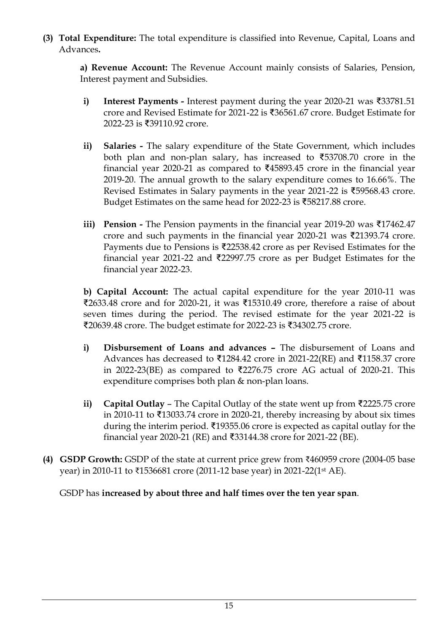**(3) Total Expenditure:** The total expenditure is classified into Revenue, Capital, Loans and Advances**.** 

**a) Revenue Account:** The Revenue Account mainly consists of Salaries, Pension, Interest payment and Subsidies.

- **i) Interest Payments -** Interest payment during the year 2020-21 was ₹33781.51 crore and Revised Estimate for 2021-22 is ₹36561.67 crore. Budget Estimate for 2022-23 is ₹39110.92 crore.
- **ii) Salaries -** The salary expenditure of the State Government, which includes both plan and non-plan salary, has increased to ₹53708.70 crore in the financial year 2020-21 as compared to ₹45893.45 crore in the financial year 2019-20. The annual growth to the salary expenditure comes to 16.66%. The Revised Estimates in Salary payments in the year 2021-22 is ₹59568.43 crore. Budget Estimates on the same head for 2022-23 is ₹58217.88 crore.
- **iii) Pension -** The Pension payments in the financial year 2019-20 was ₹17462.47 crore and such payments in the financial year 2020-21 was ₹21393.74 crore. Payments due to Pensions is ₹22538.42 crore as per Revised Estimates for the financial year 2021-22 and ₹22997.75 crore as per Budget Estimates for the financial year 2022-23.

**b) Capital Account:** The actual capital expenditure for the year 2010-11 was ₹2633.48 crore and for 2020-21, it was ₹15310.49 crore, therefore a raise of about seven times during the period. The revised estimate for the year 2021-22 is ₹20639.48 crore. The budget estimate for 2022-23 is ₹34302.75 crore.

- **i) Disbursement of Loans and advances –** The disbursement of Loans and Advances has decreased to ₹1284.42 crore in 2021-22(RE) and ₹1158.37 crore in 2022-23(BE) as compared to ₹2276.75 crore AG actual of 2020-21. This expenditure comprises both plan & non-plan loans.
- **ii) Capital Outlay** The Capital Outlay of the state went up from ₹2225.75 crore in 2010-11 to ₹13033.74 crore in 2020-21, thereby increasing by about six times during the interim period. ₹19355.06 crore is expected as capital outlay for the financial year 2020-21 (RE) and ₹33144.38 crore for 2021-22 (BE).
- **(4) GSDP Growth:** GSDP of the state at current price grew from ₹460959 crore (2004-05 base year) in 2010-11 to ₹1536681 crore (2011-12 base year) in 2021-22(1st AE).

GSDP has **increased by about three and half times over the ten year span**.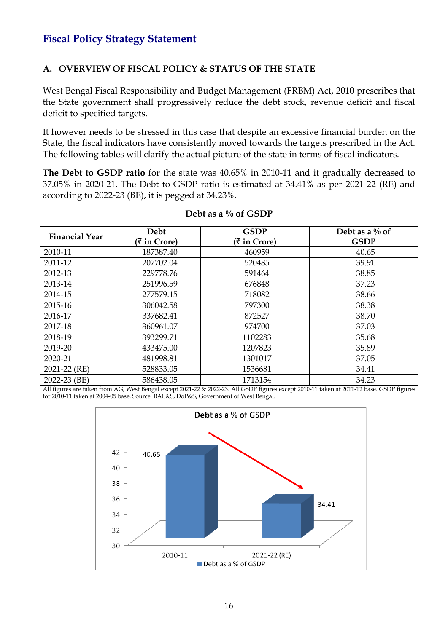## **Fiscal Policy Strategy Statement**

### **A. OVERVIEW OF FISCAL POLICY & STATUS OF THE STATE**

West Bengal Fiscal Responsibility and Budget Management (FRBM) Act, 2010 prescribes that the State government shall progressively reduce the debt stock, revenue deficit and fiscal deficit to specified targets.

It however needs to be stressed in this case that despite an excessive financial burden on the State, the fiscal indicators have consistently moved towards the targets prescribed in the Act. The following tables will clarify the actual picture of the state in terms of fiscal indicators.

**The Debt to GSDP ratio** for the state was 40.65% in 2010-11 and it gradually decreased to 37.05% in 2020-21. The Debt to GSDP ratio is estimated at 34.41% as per 2021-22 (RE) and according to 2022-23 (BE), it is pegged at 34.23%.

| <b>Financial Year</b> | Debt         | <b>GSDP</b>  | Debt as a $\%$ of |
|-----------------------|--------------|--------------|-------------------|
|                       | (₹ in Crore) | (₹ in Crore) | <b>GSDP</b>       |
| 2010-11               | 187387.40    | 460959       | 40.65             |
| 2011-12               | 207702.04    | 520485       | 39.91             |
| 2012-13               | 229778.76    | 591464       | 38.85             |
| 2013-14               | 251996.59    | 676848       | 37.23             |
| 2014-15               | 277579.15    | 718082       | 38.66             |
| 2015-16               | 306042.58    | 797300       | 38.38             |
| 2016-17               | 337682.41    | 872527       | 38.70             |
| 2017-18               | 360961.07    | 974700       | 37.03             |
| 2018-19               | 393299.71    | 1102283      | 35.68             |
| 2019-20               | 433475.00    | 1207823      | 35.89             |
| 2020-21               | 481998.81    | 1301017      | 37.05             |
| 2021-22 (RE)          | 528833.05    | 1536681      | 34.41             |
| 2022-23 (BE)          | 586438.05    | 1713154      | 34.23             |

#### **Debt as a % of GSDP**

All figures are taken from AG, West Bengal except 2021-22 & 2022-23. All GSDP figures except 2010-11 taken at 2011-12 base. GSDP figures for 2010-11 taken at 2004-05 base. Source: BAE&S, DoP&S, Government of West Bengal.

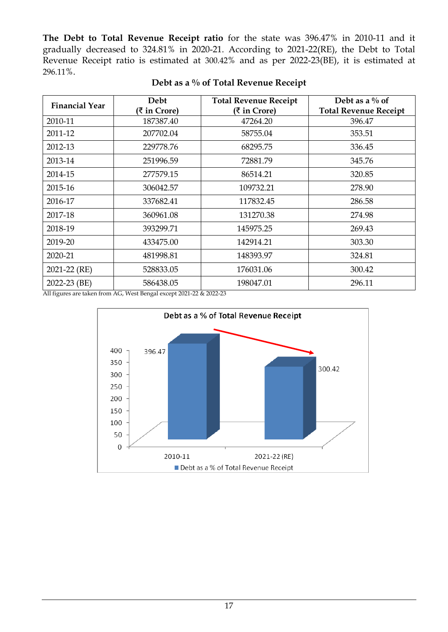**The Debt to Total Revenue Receipt ratio** for the state was 396.47% in 2010-11 and it gradually decreased to 324.81% in 2020-21. According to 2021-22(RE), the Debt to Total Revenue Receipt ratio is estimated at 300.42% and as per 2022-23(BE), it is estimated at 296.11%.

| <b>Financial Year</b> | Debt         | <b>Total Revenue Receipt</b> | Debt as a $\%$ of            |
|-----------------------|--------------|------------------------------|------------------------------|
|                       | (₹ in Crore) | (₹ in Crore)                 | <b>Total Revenue Receipt</b> |
| 2010-11               | 187387.40    | 47264.20                     | 396.47                       |
| 2011-12               | 207702.04    | 58755.04                     | 353.51                       |
| 2012-13               | 229778.76    | 68295.75                     | 336.45                       |
| 2013-14               | 251996.59    | 72881.79                     | 345.76                       |
| 2014-15               | 277579.15    | 86514.21                     | 320.85                       |
| 2015-16               | 306042.57    | 109732.21                    | 278.90                       |
| 2016-17               | 337682.41    | 117832.45                    | 286.58                       |
| 2017-18               | 360961.08    | 131270.38                    | 274.98                       |
| 2018-19               | 393299.71    | 145975.25                    | 269.43                       |
| 2019-20               | 433475.00    | 142914.21                    | 303.30                       |
| 2020-21               | 481998.81    | 148393.97                    | 324.81                       |
| 2021-22 (RE)          | 528833.05    | 176031.06                    | 300.42                       |
| 2022-23 (BE)          | 586438.05    | 198047.01                    | 296.11                       |

All figures are taken from AG, West Bengal except 2021-22 & 2022-23

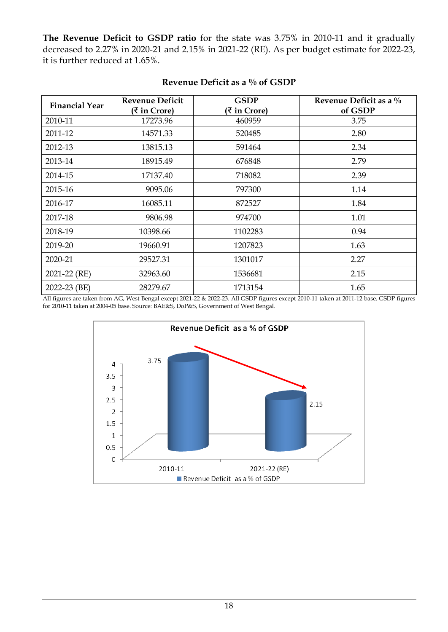**The Revenue Deficit to GSDP ratio** for the state was 3.75% in 2010-11 and it gradually decreased to 2.27% in 2020-21 and 2.15% in 2021-22 (RE). As per budget estimate for 2022-23, it is further reduced at 1.65%.

| <b>Financial Year</b> | <b>Revenue Deficit</b><br>(₹ in Crore) | <b>GSDP</b><br>(₹ in Crore) | Revenue Deficit as a $\%$<br>of GSDP |
|-----------------------|----------------------------------------|-----------------------------|--------------------------------------|
| 2010-11               | 17273.96                               | 460959                      | 3.75                                 |
| 2011-12               | 14571.33                               | 520485                      | 2.80                                 |
| 2012-13               | 13815.13                               | 591464                      | 2.34                                 |
| 2013-14               | 18915.49                               | 676848                      | 2.79                                 |
| 2014-15               | 17137.40                               | 718082                      | 2.39                                 |
| 2015-16               | 9095.06                                | 797300                      | 1.14                                 |
| 2016-17               | 16085.11                               | 872527                      | 1.84                                 |
| 2017-18               | 9806.98                                | 974700                      | 1.01                                 |
| 2018-19               | 10398.66                               | 1102283                     | 0.94                                 |
| 2019-20               | 19660.91                               | 1207823                     | 1.63                                 |
| 2020-21               | 29527.31                               | 1301017                     | 2.27                                 |
| 2021-22 (RE)          | 32963.60                               | 1536681                     | 2.15                                 |
| 2022-23 (BE)          | 28279.67                               | 1713154                     | 1.65                                 |

### **Revenue Deficit as a % of GSDP**

All figures are taken from AG, West Bengal except 2021-22 & 2022-23. All GSDP figures except 2010-11 taken at 2011-12 base. GSDP figures for 2010-11 taken at 2004-05 base. Source: BAE&S, DoP&S, Government of West Bengal.

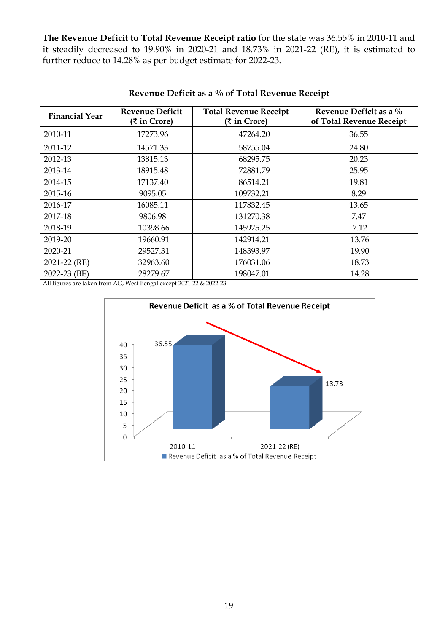**The Revenue Deficit to Total Revenue Receipt ratio** for the state was 36.55% in 2010-11 and it steadily decreased to 19.90% in 2020-21 and 18.73% in 2021-22 (RE), it is estimated to further reduce to 14.28% as per budget estimate for 2022-23.

| <b>Financial Year</b> | <b>Revenue Deficit</b><br>(₹ in Crore) | <b>Total Revenue Receipt</b><br>(₹ in Crore) | Revenue Deficit as a %<br>of Total Revenue Receipt |
|-----------------------|----------------------------------------|----------------------------------------------|----------------------------------------------------|
| 2010-11               | 17273.96                               | 47264.20                                     | 36.55                                              |
| 2011-12               | 14571.33                               | 58755.04                                     | 24.80                                              |
| 2012-13               | 13815.13                               | 68295.75                                     | 20.23                                              |
| 2013-14               | 18915.48                               | 72881.79                                     | 25.95                                              |
| 2014-15               | 17137.40                               | 86514.21                                     | 19.81                                              |
| 2015-16               | 9095.05                                | 109732.21                                    | 8.29                                               |
| 2016-17               | 16085.11                               | 117832.45                                    | 13.65                                              |
| 2017-18               | 9806.98                                | 131270.38                                    | 7.47                                               |
| 2018-19               | 10398.66                               | 145975.25                                    | 7.12                                               |
| 2019-20               | 19660.91                               | 142914.21                                    | 13.76                                              |
| 2020-21               | 29527.31                               | 148393.97                                    | 19.90                                              |
| 2021-22 (RE)          | 32963.60                               | 176031.06                                    | 18.73                                              |
| 2022-23 (BE)          | 28279.67                               | 198047.01                                    | 14.28                                              |

### **Revenue Deficit as a % of Total Revenue Receipt**

All figures are taken from AG, West Bengal except 2021-22 & 2022-23

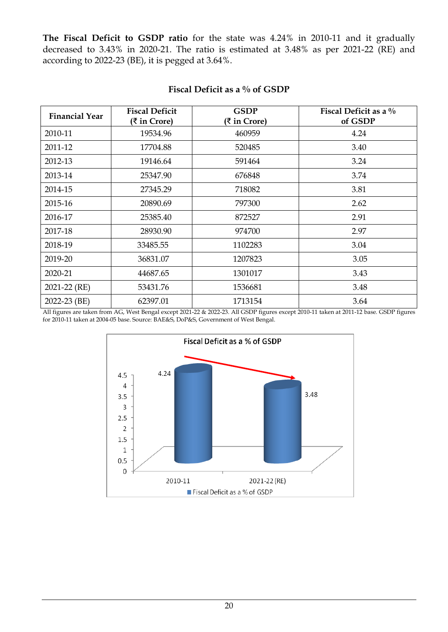**The Fiscal Deficit to GSDP ratio** for the state was 4.24% in 2010-11 and it gradually decreased to 3.43% in 2020-21. The ratio is estimated at 3.48% as per 2021-22 (RE) and according to 2022-23 (BE), it is pegged at 3.64%.

| <b>Financial Year</b> | <b>Fiscal Deficit</b><br>(₹ in Crore) | <b>GSDP</b><br>(₹ in Crore) | Fiscal Deficit as a $\%$<br>of GSDP |
|-----------------------|---------------------------------------|-----------------------------|-------------------------------------|
| 2010-11               | 19534.96                              | 460959                      | 4.24                                |
| 2011-12               | 17704.88                              | 520485                      | 3.40                                |
| 2012-13               | 19146.64                              | 591464                      | 3.24                                |
| 2013-14               | 25347.90                              | 676848                      | 3.74                                |
| 2014-15               | 27345.29                              | 718082                      | 3.81                                |
| 2015-16               | 20890.69                              | 797300                      | 2.62                                |
| 2016-17               | 25385.40                              | 872527                      | 2.91                                |
| 2017-18               | 28930.90                              | 974700                      | 2.97                                |
| 2018-19               | 33485.55                              | 1102283                     | 3.04                                |
| 2019-20               | 36831.07                              | 1207823                     | 3.05                                |
| 2020-21               | 44687.65                              | 1301017                     | 3.43                                |
| 2021-22 (RE)          | 53431.76                              | 1536681                     | 3.48                                |
| 2022-23 (BE)          | 62397.01                              | 1713154                     | 3.64                                |

### **Fiscal Deficit as a % of GSDP**

All figures are taken from AG, West Bengal except 2021-22 & 2022-23. All GSDP figures except 2010-11 taken at 2011-12 base. GSDP figures for 2010-11 taken at 2004-05 base. Source: BAE&S, DoP&S, Government of West Bengal.

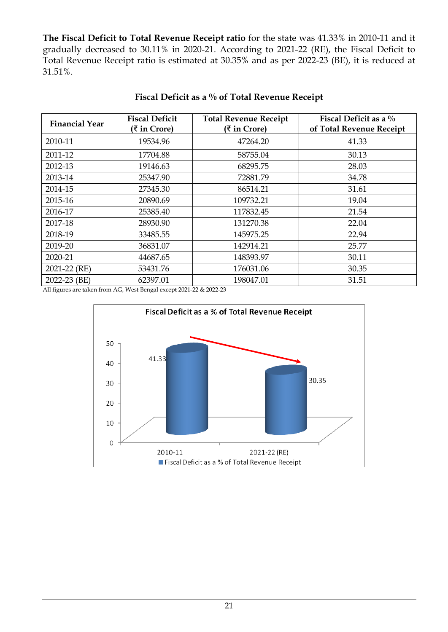**The Fiscal Deficit to Total Revenue Receipt ratio** for the state was 41.33% in 2010-11 and it gradually decreased to 30.11% in 2020-21. According to 2021-22 (RE), the Fiscal Deficit to Total Revenue Receipt ratio is estimated at 30.35% and as per 2022-23 (BE), it is reduced at 31.51%.

| <b>Financial Year</b> | <b>Fiscal Deficit</b><br>$(3 \in \mathbb{R})$ for Crore) | <b>Total Revenue Receipt</b><br>(₹ in Crore) | Fiscal Deficit as a $\%$<br>of Total Revenue Receipt |
|-----------------------|----------------------------------------------------------|----------------------------------------------|------------------------------------------------------|
| 2010-11               | 19534.96                                                 | 47264.20                                     | 41.33                                                |
| 2011-12               | 17704.88                                                 | 58755.04                                     | 30.13                                                |
| 2012-13               | 19146.63                                                 | 68295.75                                     | 28.03                                                |
| 2013-14               | 25347.90                                                 | 72881.79                                     | 34.78                                                |
| 2014-15               | 27345.30                                                 | 86514.21                                     | 31.61                                                |
| 2015-16               | 20890.69                                                 | 109732.21                                    | 19.04                                                |
| 2016-17               | 25385.40                                                 | 117832.45                                    | 21.54                                                |
| 2017-18               | 28930.90                                                 | 131270.38                                    | 22.04                                                |
| 2018-19               | 33485.55                                                 | 145975.25                                    | 22.94                                                |
| 2019-20               | 36831.07                                                 | 142914.21                                    | 25.77                                                |
| 2020-21               | 44687.65                                                 | 148393.97                                    | 30.11                                                |
| 2021-22 (RE)          | 53431.76                                                 | 176031.06                                    | 30.35                                                |
| 2022-23 (BE)          | 62397.01                                                 | 198047.01                                    | 31.51                                                |

**Fiscal Deficit as a % of Total Revenue Receipt** 

All figures are taken from AG, West Bengal except 2021-22 & 2022-23

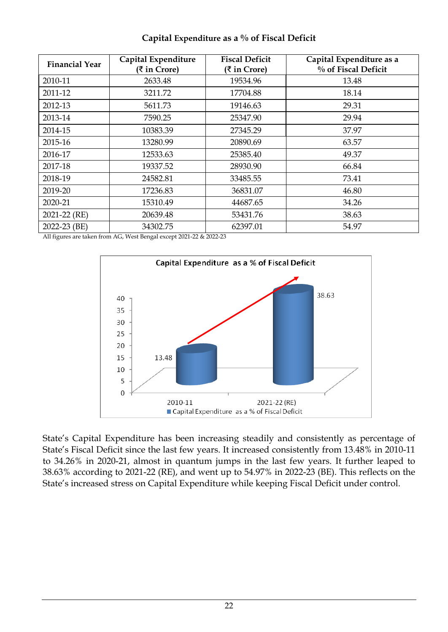| <b>Financial Year</b> | Capital Expenditure<br>(₹ in Crore) |          | Capital Expenditure as a<br>% of Fiscal Deficit |
|-----------------------|-------------------------------------|----------|-------------------------------------------------|
| 2010-11               | 2633.48                             | 19534.96 | 13.48                                           |
| 2011-12               | 3211.72                             | 17704.88 | 18.14                                           |
| 2012-13               | 5611.73                             | 19146.63 | 29.31                                           |
| 2013-14               | 7590.25                             | 25347.90 | 29.94                                           |
| 2014-15               | 10383.39                            | 27345.29 | 37.97                                           |
| 2015-16               | 13280.99                            | 20890.69 | 63.57                                           |
| 2016-17               | 12533.63                            | 25385.40 | 49.37                                           |
| 2017-18               | 19337.52                            | 28930.90 | 66.84                                           |
| 2018-19               | 24582.81                            | 33485.55 | 73.41                                           |
| 2019-20               | 17236.83                            | 36831.07 | 46.80                                           |
| 2020-21               | 15310.49                            | 44687.65 | 34.26                                           |
| 2021-22 (RE)          | 20639.48                            | 53431.76 | 38.63                                           |
| 2022-23 (BE)          | 34302.75                            | 62397.01 | 54.97                                           |

### **Capital Expenditure as a % of Fiscal Deficit**

All figures are taken from AG, West Bengal except 2021-22 & 2022-23



State's Capital Expenditure has been increasing steadily and consistently as percentage of State's Fiscal Deficit since the last few years. It increased consistently from 13.48% in 2010-11 to 34.26% in 2020-21, almost in quantum jumps in the last few years. It further leaped to 38.63% according to 2021-22 (RE), and went up to 54.97% in 2022-23 (BE). This reflects on the State's increased stress on Capital Expenditure while keeping Fiscal Deficit under control.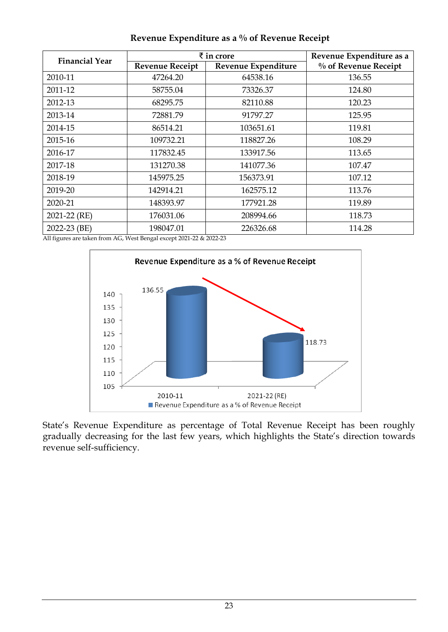| <b>Financial Year</b> | $\bar{\tau}$ in crore                         | Revenue Expenditure as a |                      |  |
|-----------------------|-----------------------------------------------|--------------------------|----------------------|--|
|                       | <b>Revenue Receipt</b><br>Revenue Expenditure |                          | % of Revenue Receipt |  |
| 2010-11               | 47264.20                                      | 64538.16                 | 136.55               |  |
| 2011-12               | 58755.04                                      | 73326.37                 | 124.80               |  |
| 2012-13               | 68295.75                                      | 82110.88                 | 120.23               |  |
| 2013-14               | 72881.79                                      | 91797.27                 | 125.95               |  |
| 2014-15               | 86514.21                                      | 103651.61                | 119.81               |  |
| 2015-16               | 109732.21                                     | 118827.26                | 108.29               |  |
| 2016-17               | 117832.45                                     | 133917.56                | 113.65               |  |
| 2017-18               | 131270.38                                     | 141077.36                | 107.47               |  |
| 2018-19               | 145975.25                                     | 156373.91                | 107.12               |  |
| 2019-20               | 142914.21                                     | 162575.12                | 113.76               |  |
| 2020-21               | 148393.97                                     | 177921.28                | 119.89               |  |
| 2021-22 (RE)          | 176031.06                                     | 208994.66                | 118.73               |  |
| 2022-23 (BE)          | 198047.01                                     | 226326.68                | 114.28               |  |

**Revenue Expenditure as a % of Revenue Receipt**

All figures are taken from AG, West Bengal except 2021-22 & 2022-23



State's Revenue Expenditure as percentage of Total Revenue Receipt has been roughly gradually decreasing for the last few years, which highlights the State's direction towards revenue self-sufficiency.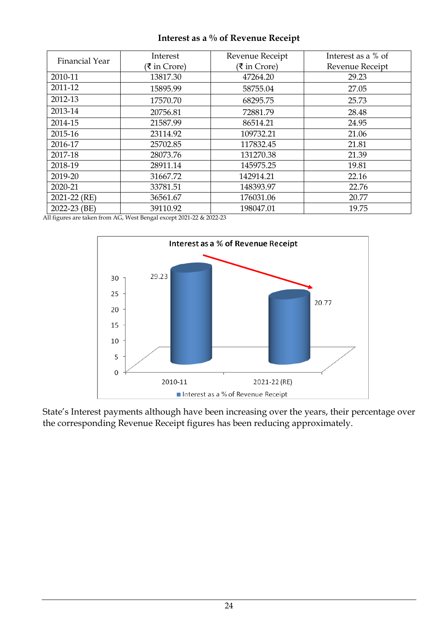| <b>Financial Year</b> | Interest<br>(₹ in Crore) | Revenue Receipt<br>(₹ in Crore) | Interest as a % of<br>Revenue Receipt |
|-----------------------|--------------------------|---------------------------------|---------------------------------------|
| 2010-11               | 13817.30                 | 47264.20                        | 29.23                                 |
| 2011-12               | 15895.99                 | 58755.04                        | 27.05                                 |
| 2012-13               | 17570.70                 | 68295.75                        | 25.73                                 |
| 2013-14               | 20756.81                 | 72881.79                        | 28.48                                 |
| 2014-15               | 21587.99                 | 86514.21                        | 24.95                                 |
| 2015-16               | 23114.92                 | 109732.21                       | 21.06                                 |
| 2016-17               | 25702.85                 | 117832.45                       | 21.81                                 |
| 2017-18               | 28073.76                 | 131270.38                       | 21.39                                 |
| 2018-19               | 28911.14                 | 145975.25                       | 19.81                                 |
| 2019-20               | 31667.72                 | 142914.21                       | 22.16                                 |
| 2020-21               | 33781.51                 | 148393.97                       | 22.76                                 |
| 2021-22 (RE)          | 36561.67                 | 176031.06                       | 20.77                                 |
| 2022-23 (BE)          | 39110.92                 | 198047.01                       | 19.75                                 |

### **Interest as a % of Revenue Receipt**

All figures are taken from AG, West Bengal except 2021-22 & 2022-23



State's Interest payments although have been increasing over the years, their percentage over the corresponding Revenue Receipt figures has been reducing approximately.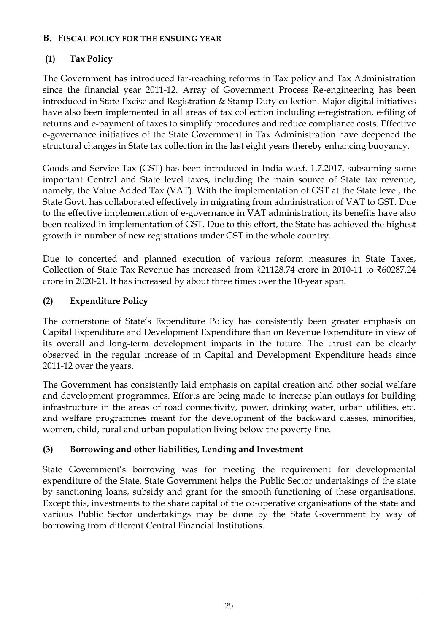## **B. FISCAL POLICY FOR THE ENSUING YEAR**

## **(1) Tax Policy**

The Government has introduced far-reaching reforms in Tax policy and Tax Administration since the financial year 2011-12. Array of Government Process Re-engineering has been introduced in State Excise and Registration & Stamp Duty collection. Major digital initiatives have also been implemented in all areas of tax collection including e-registration, e-filing of returns and e-payment of taxes to simplify procedures and reduce compliance costs. Effective e-governance initiatives of the State Government in Tax Administration have deepened the structural changes in State tax collection in the last eight years thereby enhancing buoyancy.

Goods and Service Tax (GST) has been introduced in India w.e.f. 1.7.2017, subsuming some important Central and State level taxes, including the main source of State tax revenue, namely, the Value Added Tax (VAT). With the implementation of GST at the State level, the State Govt. has collaborated effectively in migrating from administration of VAT to GST. Due to the effective implementation of e-governance in VAT administration, its benefits have also been realized in implementation of GST. Due to this effort, the State has achieved the highest growth in number of new registrations under GST in the whole country.

Due to concerted and planned execution of various reform measures in State Taxes, Collection of State Tax Revenue has increased from ₹21128.74 crore in 2010-11 to ₹60287.24 crore in 2020-21. It has increased by about three times over the 10-year span.

## **(2) Expenditure Policy**

The cornerstone of State's Expenditure Policy has consistently been greater emphasis on Capital Expenditure and Development Expenditure than on Revenue Expenditure in view of its overall and long-term development imparts in the future. The thrust can be clearly observed in the regular increase of in Capital and Development Expenditure heads since 2011-12 over the years.

The Government has consistently laid emphasis on capital creation and other social welfare and development programmes. Efforts are being made to increase plan outlays for building infrastructure in the areas of road connectivity, power, drinking water, urban utilities, etc. and welfare programmes meant for the development of the backward classes, minorities, women, child, rural and urban population living below the poverty line.

## **(3) Borrowing and other liabilities, Lending and Investment**

State Government's borrowing was for meeting the requirement for developmental expenditure of the State. State Government helps the Public Sector undertakings of the state by sanctioning loans, subsidy and grant for the smooth functioning of these organisations. Except this, investments to the share capital of the co-operative organisations of the state and various Public Sector undertakings may be done by the State Government by way of borrowing from different Central Financial Institutions.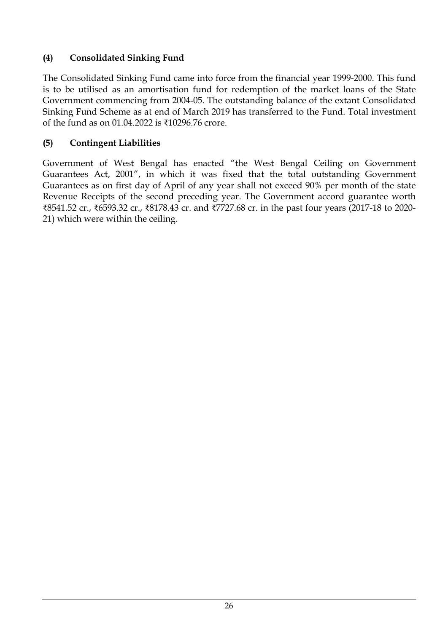## **(4) Consolidated Sinking Fund**

The Consolidated Sinking Fund came into force from the financial year 1999-2000. This fund is to be utilised as an amortisation fund for redemption of the market loans of the State Government commencing from 2004-05. The outstanding balance of the extant Consolidated Sinking Fund Scheme as at end of March 2019 has transferred to the Fund. Total investment of the fund as on 01.04.2022 is ₹10296.76 crore.

## **(5) Contingent Liabilities**

Government of West Bengal has enacted "the West Bengal Ceiling on Government Guarantees Act, 2001", in which it was fixed that the total outstanding Government Guarantees as on first day of April of any year shall not exceed 90% per month of the state Revenue Receipts of the second preceding year. The Government accord guarantee worth ₹8541.52 cr., ₹6593.32 cr., ₹8178.43 cr. and ₹7727.68 cr. in the past four years (2017-18 to 2020- 21) which were within the ceiling.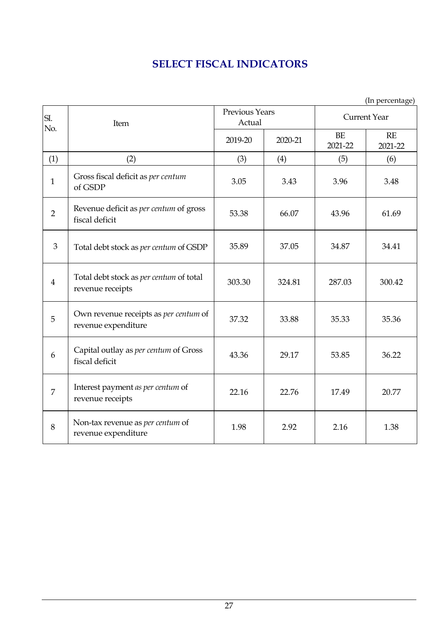## **SELECT FISCAL INDICATORS**

(In percentage)

| SI.<br>No.     | Item                                                         | <b>Previous Years</b><br>Actual |         | <b>Current Year</b> |               |  |
|----------------|--------------------------------------------------------------|---------------------------------|---------|---------------------|---------------|--|
|                |                                                              | 2019-20                         | 2020-21 | BE<br>2021-22       | RE<br>2021-22 |  |
| (1)            | (2)                                                          | (3)                             | (4)     | (5)                 | (6)           |  |
| $\mathbf{1}$   | Gross fiscal deficit as per centum<br>of GSDP                | 3.05                            | 3.43    | 3.96                | 3.48          |  |
| $\overline{2}$ | Revenue deficit as per centum of gross<br>fiscal deficit     | 53.38                           | 66.07   | 43.96               | 61.69         |  |
| 3              | Total debt stock as per centum of GSDP                       | 35.89                           | 37.05   | 34.87               | 34.41         |  |
| $\overline{4}$ | Total debt stock as per centum of total<br>revenue receipts  | 303.30                          | 324.81  | 287.03              | 300.42        |  |
| 5              | Own revenue receipts as per centum of<br>revenue expenditure | 37.32                           | 33.88   | 35.33               | 35.36         |  |
| 6              | Capital outlay as per centum of Gross<br>fiscal deficit      | 43.36                           | 29.17   | 53.85               | 36.22         |  |
| 7              | Interest payment as per centum of<br>revenue receipts        | 22.16                           | 22.76   | 17.49               | 20.77         |  |
| 8              | Non-tax revenue as per centum of<br>revenue expenditure      | 1.98                            | 2.92    | 2.16                | 1.38          |  |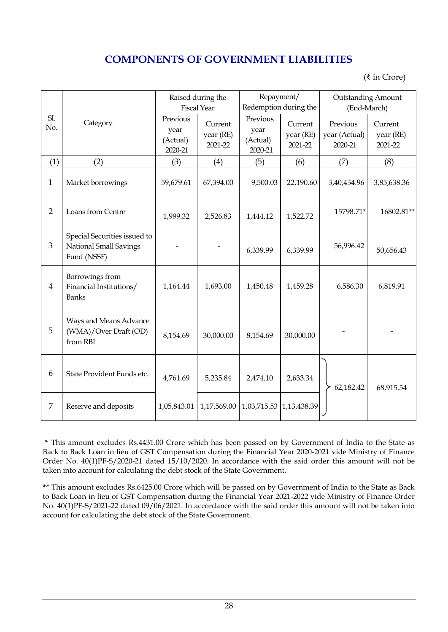## **COMPONENTS OF GOVERNMENT LIABILITIES**

 $($ ₹ in Crore)

|                |                                                                       | Raised during the<br><b>Fiscal Year</b> |                                 | Repayment/<br>Redemption during the     |                                 | <b>Outstanding Amount</b><br>(End-March) |                                 |
|----------------|-----------------------------------------------------------------------|-----------------------------------------|---------------------------------|-----------------------------------------|---------------------------------|------------------------------------------|---------------------------------|
| SI.<br>No.     | Category                                                              | Previous<br>year<br>(Actual)<br>2020-21 | Current<br>year (RE)<br>2021-22 | Previous<br>year<br>(Actual)<br>2020-21 | Current<br>year (RE)<br>2021-22 | Previous<br>year (Actual)<br>2020-21     | Current<br>year (RE)<br>2021-22 |
| (1)            | (2)                                                                   | (3)                                     | (4)                             | (5)                                     | (6)                             | (7)                                      | (8)                             |
| $\mathbf{1}$   | Market borrowings                                                     | 59,679.61                               | 67,394.00                       | 9,500.03                                | 22,190.60                       | 3,40,434.96                              | 3,85,638.36                     |
| $\overline{2}$ | Loans from Centre                                                     | 1,999.32                                | 2,526.83                        | 1,444.12                                | 1,522.72                        | 15798.71*                                | 16802.81**                      |
| 3              | Special Securities issued to<br>National Small Savings<br>Fund (NSSF) |                                         |                                 | 6,339.99                                | 6,339.99                        | 56,996.42                                | 50,656.43                       |
| $\overline{4}$ | Borrowings from<br>Financial Institutions/<br><b>Banks</b>            | 1,164.44                                | 1,693.00                        | 1,450.48                                | 1,459.28                        | 6,586.30                                 | 6,819.91                        |
| 5              | Ways and Means Advance<br>(WMA)/Over Draft (OD)<br>from RBI           | 8,154.69                                | 30,000.00                       | 8,154.69                                | 30,000.00                       |                                          |                                 |
| 6              | State Provident Funds etc.                                            | 4,761.69                                | 5,235.84                        | 2,474.10                                | 2,633.34                        | 62,182.42                                | 68,915.54                       |
| 7              | Reserve and deposits                                                  | 1,05,843.01                             | 1,17,569.00                     | 1,03,715.53                             | 1,13,438.39                     |                                          |                                 |

**\*** This amount excludes Rs.4431.00 Crore which has been passed on by Government of India to the State as Back to Back Loan in lieu of GST Compensation during the Financial Year 2020-2021 vide Ministry of Finance Order No. 40(1)PF-S/2020-21 dated 15/10/2020. In accordance with the said order this amount will not be taken into account for calculating the debt stock of the State Government.

**\*\*** This amount excludes Rs.6425.00 Crore which will be passed on by Government of India to the State as Back to Back Loan in lieu of GST Compensation during the Financial Year 2021-2022 vide Ministry of Finance Order No. 40(1)PF-S/2021-22 dated 09/06/2021. In accordance with the said order this amount will not be taken into account for calculating the debt stock of the State Government.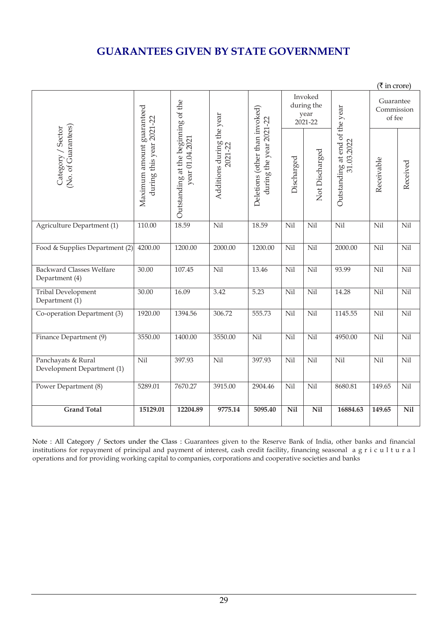## **GUARANTEES GIVEN BY STATE GOVERNMENT**

|                                                   |                                                       |                                                        |                                      |                                                           |                                          |                |                                              | (₹ in crore)                      |            |
|---------------------------------------------------|-------------------------------------------------------|--------------------------------------------------------|--------------------------------------|-----------------------------------------------------------|------------------------------------------|----------------|----------------------------------------------|-----------------------------------|------------|
|                                                   |                                                       |                                                        |                                      |                                                           | Invoked<br>during the<br>year<br>2021-22 |                |                                              | Guarantee<br>Commission<br>of fee |            |
| (No. of Guarantees)<br>Category / Sector          | Maximum amount guaranteed<br>during this year 2021-22 | Outstanding at the beginning of the<br>year 01.04.2027 | Additions during the year<br>2021-22 | Deletions (other than invoked)<br>during the year 2021-22 | Discharged                               | Not Discharged | Outstanding at end of the year<br>31.03.2022 | Receivable                        | Received   |
| Agriculture Department (1)                        | 110.00                                                | 18.59                                                  | Nil                                  | 18.59                                                     | Nil                                      | Nil            | Nil                                          | Nil                               | Nil        |
| Food & Supplies Department (2)                    | 4200.00                                               | 1200.00                                                | 2000.00                              | 1200.00                                                   | Nil                                      | Nil            | 2000.00                                      | Nil                               | Nil        |
| <b>Backward Classes Welfare</b><br>Department (4) | 30.00                                                 | 107.45                                                 | Nil                                  | 13.46                                                     | Nil                                      | Nil            | 93.99                                        | Nil                               | $\rm{Nil}$ |
| <b>Tribal Development</b><br>Department (1)       | 30.00                                                 | 16.09                                                  | 3.42                                 | 5.23                                                      | Nil                                      | Nil            | 14.28                                        | Nil                               | $\rm{Nil}$ |
| Co-operation Department (3)                       | 1920.00                                               | 1394.56                                                | 306.72                               | 555.73                                                    | Nil                                      | Nil            | 1145.55                                      | Nil                               | Nil        |
| Finance Department (9)                            | 3550.00                                               | 1400.00                                                | 3550.00                              | Nil                                                       | Nil                                      | Nil            | 4950.00                                      | Nil                               | $\rm{Nil}$ |
| Panchayats & Rural<br>Development Department (1)  | Nil                                                   | 397.93                                                 | Nil                                  | 397.93                                                    | Nil                                      | Nil            | Nil                                          | Nil                               | Nil        |
| Power Department (8)                              | 5289.01                                               | 7670.27                                                | 3915.00                              | 2904.46                                                   | Nil                                      | Nil            | 8680.81                                      | 149.65                            | $\rm{Nil}$ |
| <b>Grand Total</b>                                | 15129.01                                              | 12204.89                                               | 9775.14                              | 5095.40                                                   | Nil                                      | <b>Nil</b>     | 16884.63                                     | 149.65                            | Nil        |

Note : All Category / Sectors under the Class : Guarantees given to the Reserve Bank of India, other banks and financial institutions for repayment of principal and payment of interest, cash credit facility, financing seasonal a g r i c u l t u r a l operations and for providing working capital to companies, corporations and cooperative societies and banks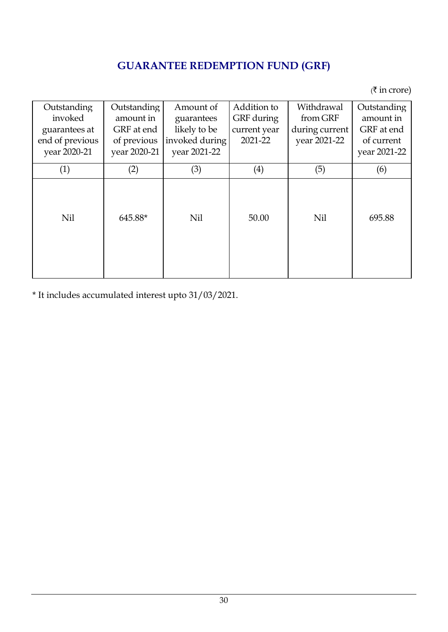# **GUARANTEE REDEMPTION FUND (GRF)**

 $($ ₹ in crore)

| Outstanding     | Outstanding  | Amount of      | Addition to  | Withdrawal     | Outstanding  |
|-----------------|--------------|----------------|--------------|----------------|--------------|
| invoked         | amount in    | guarantees     | GRF during   | from GRF       | amount in    |
| guarantees at   | GRF at end   | likely to be   | current year | during current | GRF at end   |
| end of previous | of previous  | invoked during | 2021-22      | year 2021-22   | of current   |
| year 2020-21    | year 2020-21 | year 2021-22   |              |                | year 2021-22 |
| (1)             | (2)          | (3)            | (4)          | (5)            | (6)          |
| Nil             | 645.88*      | <b>Nil</b>     | 50.00        | Nil            | 695.88       |

\* It includes accumulated interest upto 31/03/2021.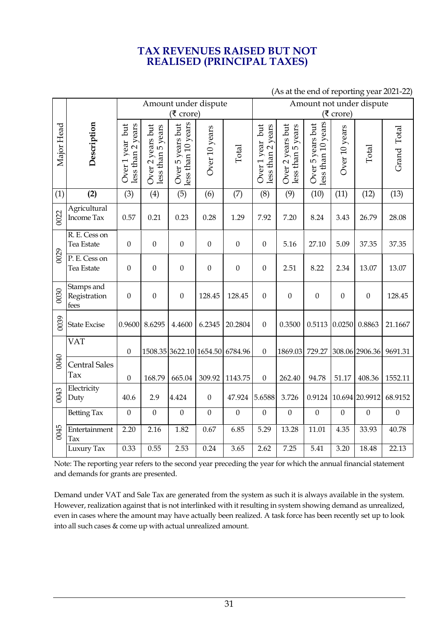## **TAX REVENUES RAISED BUT NOT REALISED (PRINCIPAL TAXES)**

|            |                                           | Amount under dispute<br>(₹ crore)    |                                       |                                        |                  |                                 | Amount not under dispute<br>(₹ crore) |                                       |                                        |                  |                       |              |
|------------|-------------------------------------------|--------------------------------------|---------------------------------------|----------------------------------------|------------------|---------------------------------|---------------------------------------|---------------------------------------|----------------------------------------|------------------|-----------------------|--------------|
| Major Head | Description                               | Over 1 year but<br>less than 2 years | Over 2 years but<br>less than 5 years | less than 10 years<br>Over 5 years but | Over 10 years    | Total                           | Over 1 year but<br>less than 2 years  | Over 2 years but<br>less than 5 years | less than 10 years<br>Over 5 years but | Over 10 years    | Total                 | Grand Total  |
| (1)        | (2)                                       | (3)                                  | (4)                                   | (5)                                    | (6)              | (7)                             | (8)                                   | (9)                                   | (10)                                   | (11)             | (12)                  | (13)         |
| 0022       | Agricultural<br>Income Tax                | 0.57                                 | 0.21                                  | 0.23                                   | 0.28             | 1.29                            | 7.92                                  | 7.20                                  | 8.24                                   | 3.43             | 26.79                 | 28.08        |
|            | R. E. Cess on<br>Tea Estate               | $\mathbf{0}$                         | $\boldsymbol{0}$                      | $\boldsymbol{0}$                       | $\boldsymbol{0}$ | $\boldsymbol{0}$                | $\boldsymbol{0}$                      | 5.16                                  | 27.10                                  | 5.09             | 37.35                 | 37.35        |
| 0029       | $\overline{P}$ . E. Cess on<br>Tea Estate | $\boldsymbol{0}$                     | $\boldsymbol{0}$                      | $\boldsymbol{0}$                       | $\boldsymbol{0}$ | $\boldsymbol{0}$                | $\boldsymbol{0}$                      | 2.51                                  | 8.22                                   | 2.34             | 13.07                 | 13.07        |
| 0030       | Stamps and<br>Registration<br>fees        | $\boldsymbol{0}$                     | $\boldsymbol{0}$                      | $\boldsymbol{0}$                       | 128.45           | 128.45                          | $\boldsymbol{0}$                      | $\mathbf{0}$                          | $\boldsymbol{0}$                       | $\boldsymbol{0}$ | $\boldsymbol{0}$      | 128.45       |
| 0039       | <b>State Excise</b>                       | 0.9600                               | 8.6295                                | 4.4600                                 | 6.2345           | 20.2804                         | $\boldsymbol{0}$                      | 0.3500                                | 0.5113                                 | 0.0250           | 0.8863                | 21.1667      |
|            | <b>VAT</b>                                | $\boldsymbol{0}$                     |                                       |                                        |                  | 1508.35 3622.10 1654.50 6784.96 | $\boldsymbol{0}$                      | 1869.03                               | 729.27                                 |                  | 308.06 2906.36        | 9691.31      |
| 0040       | <b>Central Sales</b><br>Tax               | $\mathbf{0}$                         | 168.79                                | 665.04                                 | 309.92           | 1143.75                         | $\boldsymbol{0}$                      | 262.40                                | 94.78                                  | 51.17            | 408.36                | 1552.11      |
| 0043       | Electricity<br>Duty                       | 40.6                                 | 2.9                                   | 4.424                                  | $\boldsymbol{0}$ | 47.924                          | 5.6588                                | 3.726                                 |                                        |                  | 0.9124 10.694 20.9912 | 68.9152      |
| 0045       | <b>Betting Tax</b>                        | $\mathbf{0}$                         | $\boldsymbol{0}$                      | $\mathbf{0}$                           | $\boldsymbol{0}$ | $\mathbf{0}$                    | $\mathbf{0}$                          | $\mathbf{0}$                          | $\theta$                               | $\boldsymbol{0}$ | $\boldsymbol{0}$      | $\mathbf{0}$ |
|            | Entertainment<br>Tax                      | 2.20                                 | 2.16                                  | 1.82                                   | 0.67             | 6.85                            | 5.29                                  | 13.28                                 | 11.01                                  | 4.35             | 33.93                 | 40.78        |
|            | Luxury Tax                                | 0.33                                 | 0.55                                  | 2.53                                   | 0.24             | 3.65                            | 2.62                                  | 7.25                                  | 5.41                                   | 3.20             | 18.48                 | 22.13        |

### (As at the end of reporting year 2021-22)

Note: The reporting year refers to the second year preceding the year for which the annual financial statement and demands for grants are presented.

Demand under VAT and Sale Tax are generated from the system as such it is always available in the system. However, realization against that is not interlinked with it resulting in system showing demand as unrealized, even in cases where the amount may have actually been realized. A task force has been recently set up to look into all such cases & come up with actual unrealized amount.